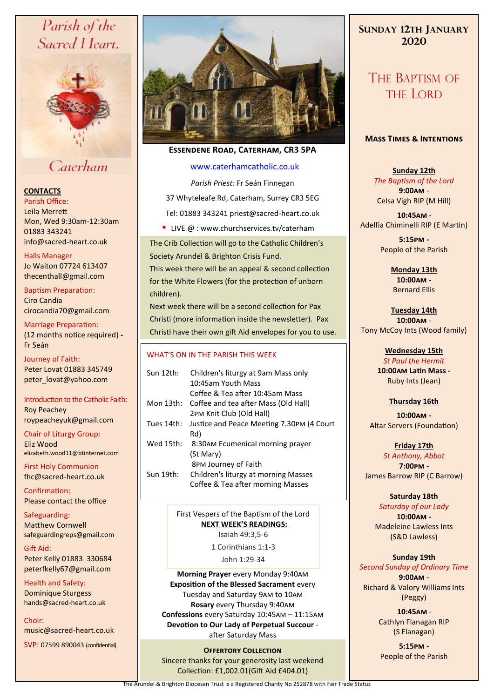# Parish of the Sacred Heart,



# Caterham

#### **CONTACTS**

Parish Office: Leila Merrett Mon, Wed 9:30am-12:30am 01883 343241 info@sacred-heart.co.uk .

Halls Manager Jo Waiton 07724 613407 thecenthall@gmail.com

Baptism Preparation: Ciro Candia cirocandia70@gmail.com

Marriage Preparation: (12 months notice required) **-** Fr Seán

Journey of Faith: Peter Lovat 01883 345749 peter\_lovat@yahoo.com

Introduction to the Catholic Faith: Roy Peachey roypeacheyuk@gmail.com

Chair of Liturgy Group: Eliz Wood elizabeth.wood11@btinternet.com

First Holy Communion fhc@sacred-heart.co.uk

Confirmation: Please contact the office

Safeguarding: Matthew Cornwell safeguardingreps@gmail.com

Gift Aid: Peter Kelly 01883 330684 peterfkelly67@gmail.com

Health and Safety: Dominique Sturgess hands@sacred-heart.co.uk

Choir: music@sacred-heart.co.uk

SVP: 07599 890043 (confidential)



## **Essendene Road, Caterham, CR3 5PA**

#### [www.caterhamcatholic.co.uk](http://Www.caterhamcatholic.co.uk)

*Parish Priest:* Fr Seán Finnegan 37 Whyteleafe Rd, Caterham, Surrey CR3 5EG Tel: 01883 343241 priest@sacred-heart.co.uk

• LIVE  $@:www.churchservices.tv/caterham$ 

The Crib Collection will go to the Catholic Children's Society Arundel & Brighton Crisis Fund.

This week there will be an appeal & second collection for the White Flowers (for the protection of unborn children).

Next week there will be a second collection for Pax Christi (more information inside the newsletter). Pax Christi have their own gift Aid envelopes for you to use.

#### WHAT'S ON IN THE PARISH THIS WEEK.

| Children's liturgy at 9am Mass only       |
|-------------------------------------------|
| Coffee & Tea after 10:45am Mass           |
| Coffee and tea after Mass (Old Hall)      |
|                                           |
| Justice and Peace Meeting 7.30PM (4 Court |
|                                           |
| 8:30AM Ecumenical morning prayer          |
|                                           |
|                                           |
| Children's liturgy at morning Masses      |
| Coffee & Tea after morning Masses         |
|                                           |

First Vespers of the Baptism of the Lord **NEXT WEEK'S READINGS:**  Isaiah 49:3,5-6

1 Corinthians 1:1-3

John 1:29-34

**Morning Prayer** every Monday 9:40am **Exposition of the Blessed Sacrament** every Tuesday and Saturday 9am to 10am **Rosary** every Thursday 9:40am **Confessions** every Saturday 10:45am – 11:15am **Devotion to Our Lady of Perpetual Succour**  after Saturday Mass

**OFFERTORY COLLECTION** Sincere thanks for your generosity last weekend Collection: £1,002.01(Gift Aid £404.01)

# **SUNDAY 12TH JANUARY 2020**

# THE BAPTISM OF THE LORD

#### **Mass Times & Intentions**

**Sunday 12th** *The Baptism of the Lord* **9:00am** - Celsa Vigh RIP (M Hill)

.**10:45am** - Adelfia Chiminelli RIP (E Martin)

> **5:15pm -** People of the Parish

> > **Monday 13th 10:00am -** Bernard Ellis

**Tuesday 14th 10:00am** - Tony McCoy Ints (Wood family)

> **Wednesday 15th**  *St Paul the Hermit* **10:00am Latin Mass -** Ruby Ints (Jean)

#### **Thursday 16th**

**10:00am -** Altar Servers (Foundation)

**Friday 17th** *St Anthony, Abbot* **7:00pm -** James Barrow RIP (C Barrow)

#### **Saturday 18th**

*Saturday of our Lady* **10:00am -**  Madeleine Lawless Ints (S&D Lawless)

#### **Sunday 19th**

*Second Sunday of Ordinary Time* **9:00am** - Richard & Valory Williams Ints (Peggy)

> .**10:45am** - Cathlyn Flanagan RIP (S Flanagan)

**5:15pm -** People of the Parish

The Arundel & Brighton Diocesan Trust is a Registered Charity No 252878 with Fair Trade Status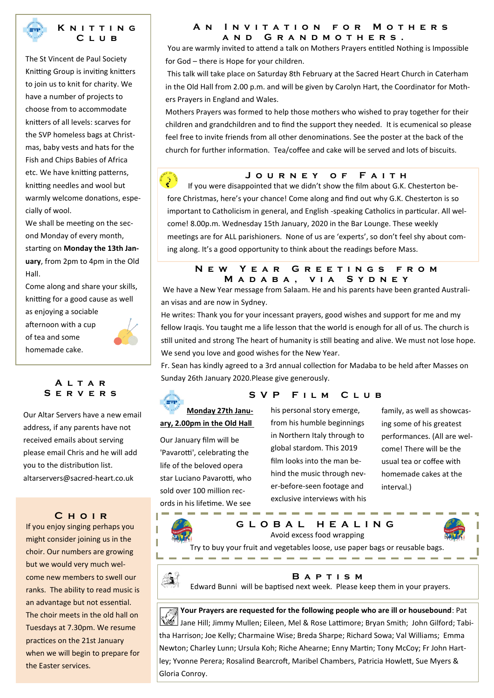

#### **K n i t t i n g C l u b**

The St Vincent de Paul Society Knitting Group is inviting knitters to join us to knit for charity. We have a number of projects to choose from to accommodate knitters of all levels: scarves for the SVP homeless bags at Christmas, baby vests and hats for the Fish and Chips Babies of Africa etc. We have knitting patterns, knitting needles and wool but warmly welcome donations, especially of wool.

We shall be meeting on the second Monday of every month, starting on **Monday the 13th January**, from 2pm to 4pm in the Old Hall.

Come along and share your skills, knitting for a good cause as well as enjoying a sociable

afternoon with a cup of tea and some homemade cake.



# **A l t a r S e r v e r s**

Our Altar Servers have a new email address, if any parents have not received emails about serving please email Chris and he will add you to the distribution list. altarservers@sacred-heart.co.uk

#### **C h o i r**

If you enjoy singing perhaps you might consider joining us in the choir. Our numbers are growing but we would very much welcome new members to swell our ranks. The ability to read music is an advantage but not essential. The choir meets in the old hall on Tuesdays at 7.30pm. We resume practices on the 21st January when we will begin to prepare for the Easter services.

#### **A n I n v i t a t i o n f o r M o t h e r s a n d G r a n d m o t h e r s .**

You are warmly invited to attend a talk on Mothers Prayers entitled Nothing is Impossible for God – there is Hope for your children.

This talk will take place on Saturday 8th February at the Sacred Heart Church in Caterham in the Old Hall from 2.00 p.m. and will be given by Carolyn Hart, the Coordinator for Mothers Prayers in England and Wales.

Mothers Prayers was formed to help those mothers who wished to pray together for their children and grandchildren and to find the support they needed. It is ecumenical so please feel free to invite friends from all other denominations. See the poster at the back of the church for further information. Tea/coffee and cake will be served and lots of biscuits.

#### **J o u r n e y o f F a i t h**

If you were disappointed that we didn't show the film about G.K. Chesterton before Christmas, here's your chance! Come along and find out why G.K. Chesterton is so important to Catholicism in general, and English -speaking Catholics in particular. All welcome! 8.00p.m. Wednesday 15th January, 2020 in the Bar Lounge. These weekly meetings are for ALL parishioners. None of us are 'experts', so don't feel shy about coming along. It's a good opportunity to think about the readings before Mass.

#### **N e w Y e a r G r e e t i n g s f r o m M a d a b a , v i a S y d n e y**

We have a New Year message from Salaam. He and his parents have been granted Australian visas and are now in Sydney.

He writes: Thank you for your incessant prayers, good wishes and support for me and my fellow Iraqis. You taught me a life lesson that the world is enough for all of us. The church is still united and strong The heart of humanity is still beating and alive. We must not lose hope. We send you love and good wishes for the New Year.

Fr. Sean has kindly agreed to a 3rd annual collection for Madaba to be held after Masses on Sunday 26th January 2020.Please give generously.



## S V P F I L M C L U B

**Monday 27th January, 2.00pm in the Old Hall**

Our January film will be 'Pavarotti', celebrating the life of the beloved opera star Luciano Pavarotti, who sold over 100 million records in his lifetime. We see

his personal story emerge, from his humble beginnings in Northern Italy through to global stardom. This 2019 film looks into the man behind the music through never-before-seen footage and exclusive interviews with his

family, as well as showcasing some of his greatest performances. (All are welcome! There will be the usual tea or coffee with homemade cakes at the interval.)



**G L O B A L H E A L I N G** Avoid excess food wrapping



Try to buy your fruit and vegetables loose, use paper bags or reusable bags.

--------



**B a p t i s m**

Edward Bunni will be baptised next week. Please keep them in your prayers.

*M* Your Prayers are requested for the following people who are ill or housebound: Pat Jane Hill; Jimmy Mullen; Eileen, Mel & Rose Lattimore; Bryan Smith; John Gilford; Tabitha Harrison; Joe Kelly; Charmaine Wise; Breda Sharpe; Richard Sowa; Val Williams; Emma Newton; Charley Lunn; Ursula Koh; Riche Ahearne; Enny Martin; Tony McCoy; Fr John Hartley; Yvonne Perera; Rosalind Bearcroft, Maribel Chambers, Patricia Howlett, Sue Myers & Gloria Conroy.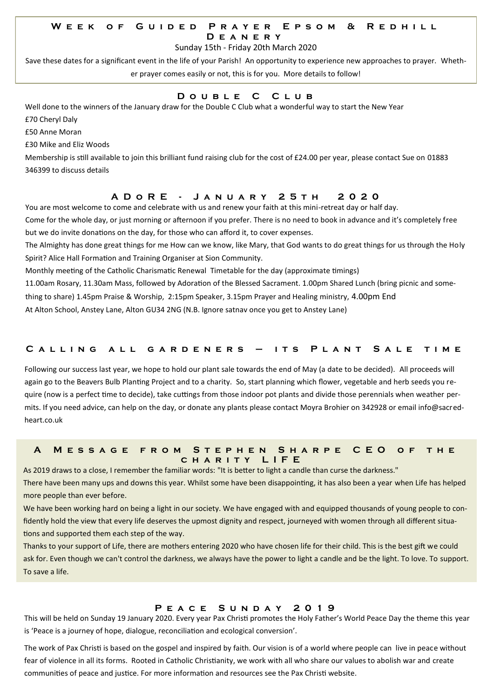#### W E E K O F G U I D E D P R A Y E R E P S O M & R E D H I L L **D e a n e r y**

Sunday 15th - Friday 20th March 2020

Save these dates for a significant event in the life of your Parish! An opportunity to experience new approaches to prayer. Whether prayer comes easily or not, this is for you. More details to follow!

# **D o u b l e C C l u b**

Well done to the winners of the January draw for the Double C Club what a wonderful way to start the New Year

£70 Cheryl Daly

£50 Anne Moran

£30 Mike and Eliz Woods

Membership is still available to join this brilliant fund raising club for the cost of £24.00 per year, please contact Sue on 01883 346399 to discuss details

# **A D o R E - J a n u a r y 2 5 t h 2 0 2 0**

You are most welcome to come and celebrate with us and renew your faith at this mini-retreat day or half day.

Come for the whole day, or just morning or afternoon if you prefer. There is no need to book in advance and it's completely free but we do invite donations on the day, for those who can afford it, to cover expenses.

The Almighty has done great things for me How can we know, like Mary, that God wants to do great things for us through the Holy Spirit? Alice Hall Formation and Training Organiser at Sion Community.

Monthly meeting of the Catholic Charismatic Renewal Timetable for the day (approximate timings)

11.00am Rosary, 11.30am Mass, followed by Adoration of the Blessed Sacrament. 1.00pm Shared Lunch (bring picnic and some-

thing to share) 1.45pm Praise & Worship, 2:15pm Speaker, 3.15pm Prayer and Healing ministry, 4.00pm End

At Alton School, Anstey Lane, Alton GU34 2NG (N.B. Ignore satnav once you get to Anstey Lane)

#### **C a l l i n g a l l g a r d e n e r s – i t s P l a n t S a l e t i m e**

Following our success last year, we hope to hold our plant sale towards the end of May (a date to be decided). All proceeds will again go to the Beavers Bulb Planting Project and to a charity. So, start planning which flower, vegetable and herb seeds you require (now is a perfect time to decide), take cuttings from those indoor pot plants and divide those perennials when weather permits. If you need advice, can help on the day, or donate any plants please contact Moyra Brohier on 342928 or email info@sacredheart.co.uk

#### **A M e s s a g e f r o m S t e p h e n S h a r p e C E O o f t h e c h a r i t y L I F E**

As 2019 draws to a close, I remember the familiar words: "It is better to light a candle than curse the darkness." There have been many ups and downs this year. Whilst some have been disappointing, it has also been a year when Life has helped more people than ever before.

We have been working hard on being a light in our society. We have engaged with and equipped thousands of young people to confidently hold the view that every life deserves the upmost dignity and respect, journeyed with women through all different situations and supported them each step of the way.

Thanks to your support of Life, there are mothers entering 2020 who have chosen life for their child. This is the best gift we could ask for. Even though we can't control the darkness, we always have the power to light a candle and be the light. To love. To support. To save a life.

#### **P e a c e S u n d a y 2 0 1 9**

This will be held on Sunday 19 January 2020. Every year Pax Christi promotes the Holy Father's World Peace Day the theme this year is 'Peace is a journey of hope, dialogue, reconciliation and ecological conversion'.

The work of Pax Christi is based on the gospel and inspired by faith. Our vision is of a world where people can live in peace without fear of violence in all its forms. Rooted in Catholic Christianity, we work with all who share our values to abolish war and create communities of peace and justice. For more information and resources see the Pax Christi website.